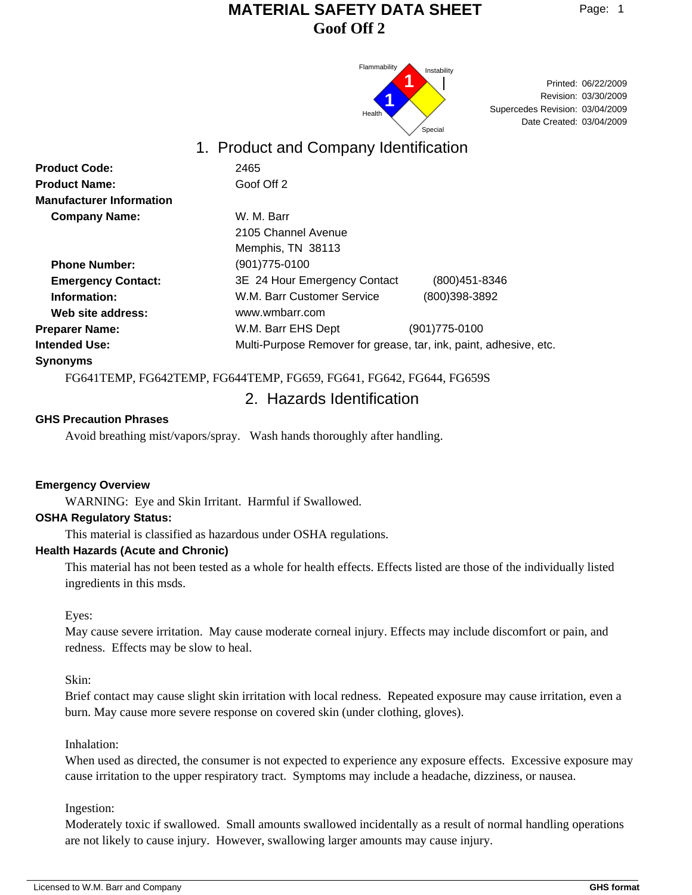

Date Created: 03/04/2009 03/30/2009 Revision: Supercedes Revision: 03/04/2009 Printed: 06/22/2009

## 1. Product and Company Identification

| <b>Product Code:</b>            | 2465                                                              |                   |  |
|---------------------------------|-------------------------------------------------------------------|-------------------|--|
| <b>Product Name:</b>            | Goof Off 2                                                        |                   |  |
| <b>Manufacturer Information</b> |                                                                   |                   |  |
| <b>Company Name:</b>            | W. M. Barr                                                        |                   |  |
|                                 | 2105 Channel Avenue                                               |                   |  |
|                                 | Memphis, TN 38113                                                 |                   |  |
| <b>Phone Number:</b>            | (901) 775-0100                                                    |                   |  |
| <b>Emergency Contact:</b>       | 3E 24 Hour Emergency Contact                                      | $(800)451 - 8346$ |  |
| Information:                    | W.M. Barr Customer Service                                        | (800)398-3892     |  |
| Web site address:               | www.wmbarr.com                                                    |                   |  |
| <b>Preparer Name:</b>           | W.M. Barr EHS Dept                                                | (901) 775-0100    |  |
| <b>Intended Use:</b>            | Multi-Purpose Remover for grease, tar, ink, paint, adhesive, etc. |                   |  |
| <b>Synonyms</b>                 |                                                                   |                   |  |
|                                 | EQGUERIO EQGUERIO EQGUERIO EQGO EQGU EQGU EQGUERICO               |                   |  |

FG641TEMP, FG642TEMP, FG644TEMP, FG659, FG641, FG642, FG644, FG659S

# 2. Hazards Identification

### **GHS Precaution Phrases**

Avoid breathing mist/vapors/spray. Wash hands thoroughly after handling.

#### **Emergency Overview**

WARNING: Eye and Skin Irritant. Harmful if Swallowed.

#### **OSHA Regulatory Status:**

This material is classified as hazardous under OSHA regulations.

#### **Health Hazards (Acute and Chronic)**

This material has not been tested as a whole for health effects. Effects listed are those of the individually listed ingredients in this msds.

Eyes:

May cause severe irritation. May cause moderate corneal injury. Effects may include discomfort or pain, and redness. Effects may be slow to heal.

Skin:

Brief contact may cause slight skin irritation with local redness. Repeated exposure may cause irritation, even a burn. May cause more severe response on covered skin (under clothing, gloves).

#### Inhalation:

When used as directed, the consumer is not expected to experience any exposure effects. Excessive exposure may cause irritation to the upper respiratory tract. Symptoms may include a headache, dizziness, or nausea.

Ingestion:

Moderately toxic if swallowed. Small amounts swallowed incidentally as a result of normal handling operations are not likely to cause injury. However, swallowing larger amounts may cause injury.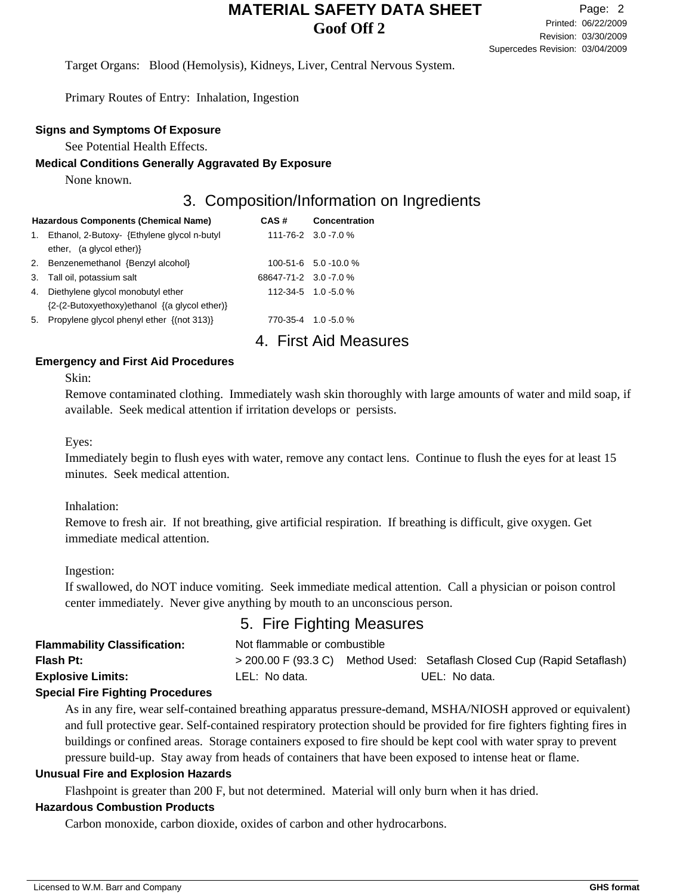Target Organs: Blood (Hemolysis), Kidneys, Liver, Central Nervous System.

Primary Routes of Entry: Inhalation, Ingestion

#### **Signs and Symptoms Of Exposure**

See Potential Health Effects.

#### **Medical Conditions Generally Aggravated By Exposure**

None known.

## 3. Composition/Information on Ingredients

|    | <b>Hazardous Components (Chemical Name)</b>   | CAS#                  | <b>Concentration</b>      |
|----|-----------------------------------------------|-----------------------|---------------------------|
| 1. | Ethanol, 2-Butoxy- {Ethylene glycol n-butyl   |                       | 111-76-2 3.0 -7.0 %       |
|    | ether, $(a \text{ glycol ether})$             |                       |                           |
|    | 2. Benzenemethanol {Benzyl alcohol}           |                       | $100-51-6$ 5.0 -10.0 %    |
| 3. | Tall oil, potassium salt                      | 68647-71-2 3.0 -7.0 % |                           |
| 4. | Diethylene glycol monobutyl ether             |                       | 112-34-5 1.0 -5.0 %       |
|    | {2-(2-Butoxyethoxy)ethanol {(a glycol ether)} |                       |                           |
|    | 5. Propylene glycol phenyl ether {(not 313)}  |                       | 770-35-4 1.0-5.0 %        |
|    |                                               |                       | <b>First Aid Measures</b> |

### **Emergency and First Aid Procedures**

Skin:

Remove contaminated clothing. Immediately wash skin thoroughly with large amounts of water and mild soap, if available. Seek medical attention if irritation develops or persists.

Eyes:

Immediately begin to flush eyes with water, remove any contact lens. Continue to flush the eyes for at least 15 minutes. Seek medical attention.

Inhalation:

Remove to fresh air. If not breathing, give artificial respiration. If breathing is difficult, give oxygen. Get immediate medical attention.

Ingestion:

If swallowed, do NOT induce vomiting. Seek immediate medical attention. Call a physician or poison control center immediately. Never give anything by mouth to an unconscious person.

## 5. Fire Fighting Measures

| <b>Flammability Classification:</b> | Not flammable or combustible |               |                                                                         |  |
|-------------------------------------|------------------------------|---------------|-------------------------------------------------------------------------|--|
| <b>Flash Pt:</b>                    |                              |               | > 200.00 F (93.3 C) Method Used: Setaflash Closed Cup (Rapid Setaflash) |  |
| <b>Explosive Limits:</b>            | LEL: No data.                | UEL: No data. |                                                                         |  |

### **Special Fire Fighting Procedures**

As in any fire, wear self-contained breathing apparatus pressure-demand, MSHA/NIOSH approved or equivalent) and full protective gear. Self-contained respiratory protection should be provided for fire fighters fighting fires in buildings or confined areas. Storage containers exposed to fire should be kept cool with water spray to prevent pressure build-up. Stay away from heads of containers that have been exposed to intense heat or flame.

#### **Unusual Fire and Explosion Hazards**

Flashpoint is greater than 200 F, but not determined. Material will only burn when it has dried.

#### **Hazardous Combustion Products**

Carbon monoxide, carbon dioxide, oxides of carbon and other hydrocarbons.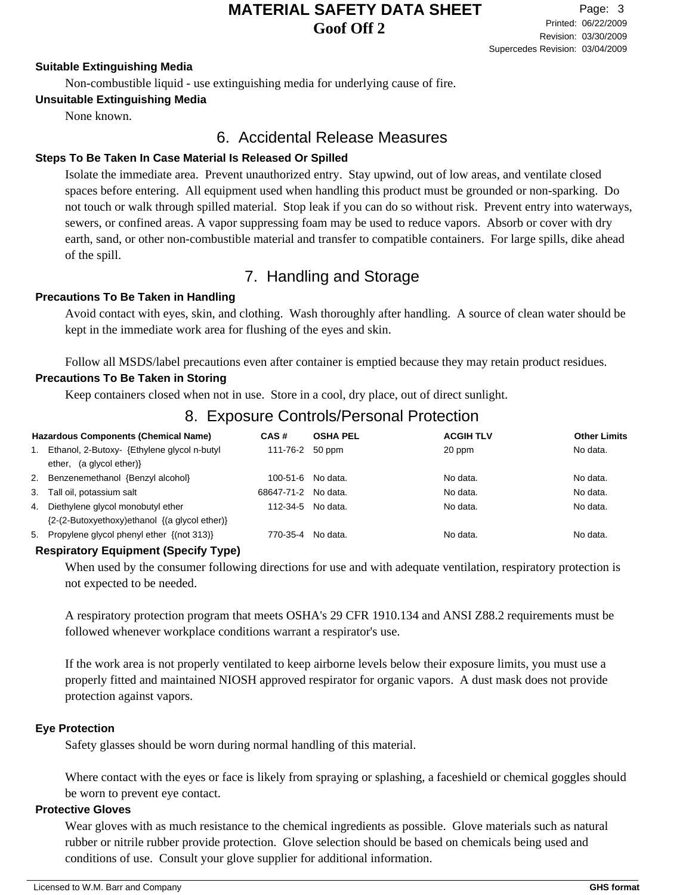#### **Suitable Extinguishing Media**

Non-combustible liquid - use extinguishing media for underlying cause of fire.

### **Unsuitable Extinguishing Media**

None known.

## 6. Accidental Release Measures

### **Steps To Be Taken In Case Material Is Released Or Spilled**

Isolate the immediate area. Prevent unauthorized entry. Stay upwind, out of low areas, and ventilate closed spaces before entering. All equipment used when handling this product must be grounded or non-sparking. Do not touch or walk through spilled material. Stop leak if you can do so without risk. Prevent entry into waterways, sewers, or confined areas. A vapor suppressing foam may be used to reduce vapors. Absorb or cover with dry earth, sand, or other non-combustible material and transfer to compatible containers. For large spills, dike ahead of the spill.

# 7. Handling and Storage

#### **Precautions To Be Taken in Handling**

Avoid contact with eyes, skin, and clothing. Wash thoroughly after handling. A source of clean water should be kept in the immediate work area for flushing of the eyes and skin.

Follow all MSDS/label precautions even after container is emptied because they may retain product residues.

### **Precautions To Be Taken in Storing**

Keep containers closed when not in use. Store in a cool, dry place, out of direct sunlight.

# 8. Exposure Controls/Personal Protection

|    | <b>Hazardous Components (Chemical Name)</b>        | CAS#                | <b>OSHA PEL</b> | <b>ACGIH TLV</b> | <b>Other Limits</b> |
|----|----------------------------------------------------|---------------------|-----------------|------------------|---------------------|
|    | Ethanol, 2-Butoxy- {Ethylene glycol n-butyl        | 111-76-2 50 ppm     |                 | 20 ppm           | No data.            |
|    | ether, (a glycol ether) }                          |                     |                 |                  |                     |
|    | 2. Benzenemethanol {Benzyl alcohol}                | 100-51-6 No data.   |                 | No data.         | No data.            |
|    | 3. Tall oil, potassium salt                        | 68647-71-2 No data. |                 | No data.         | No data.            |
| 4. | Diethylene glycol monobutyl ether                  | 112-34-5 No data.   |                 | No data.         | No data.            |
|    | ${2-(2-Butoxyethoxy)ethanol \{(a glycol ether)\}}$ |                     |                 |                  |                     |
|    | 5. Propylene glycol phenyl ether {(not 313)}       | 770-35-4 No data.   |                 | No data.         | No data.            |

#### **Respiratory Equipment (Specify Type)**

When used by the consumer following directions for use and with adequate ventilation, respiratory protection is not expected to be needed.

A respiratory protection program that meets OSHA's 29 CFR 1910.134 and ANSI Z88.2 requirements must be followed whenever workplace conditions warrant a respirator's use.

If the work area is not properly ventilated to keep airborne levels below their exposure limits, you must use a properly fitted and maintained NIOSH approved respirator for organic vapors. A dust mask does not provide protection against vapors.

#### **Eye Protection**

Safety glasses should be worn during normal handling of this material.

Where contact with the eyes or face is likely from spraying or splashing, a faceshield or chemical goggles should be worn to prevent eye contact.

#### **Protective Gloves**

Wear gloves with as much resistance to the chemical ingredients as possible. Glove materials such as natural rubber or nitrile rubber provide protection. Glove selection should be based on chemicals being used and conditions of use. Consult your glove supplier for additional information.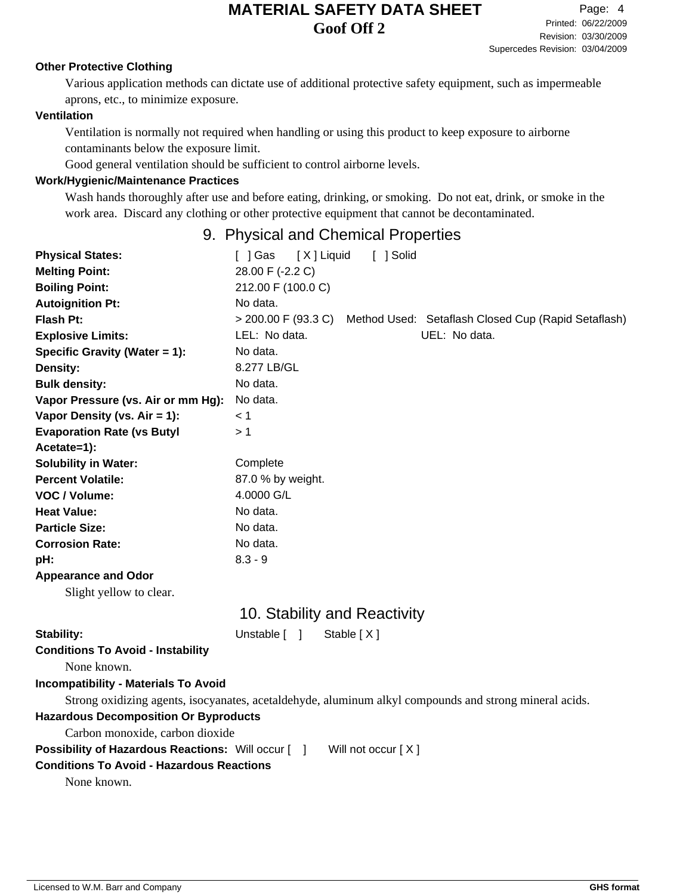#### **Other Protective Clothing**

Various application methods can dictate use of additional protective safety equipment, such as impermeable aprons, etc., to minimize exposure.

### **Ventilation**

Ventilation is normally not required when handling or using this product to keep exposure to airborne contaminants below the exposure limit.

Good general ventilation should be sufficient to control airborne levels.

#### **Work/Hygienic/Maintenance Practices**

Wash hands thoroughly after use and before eating, drinking, or smoking. Do not eat, drink, or smoke in the work area. Discard any clothing or other protective equipment that cannot be decontaminated.

## 9. Physical and Chemical Properties

| <b>Physical States:</b>                                   | [X] Liquid<br>[ ] Solid<br>[ ] Gas                                                                     |  |  |  |  |
|-----------------------------------------------------------|--------------------------------------------------------------------------------------------------------|--|--|--|--|
| <b>Melting Point:</b>                                     | 28.00 F (-2.2 C)                                                                                       |  |  |  |  |
| <b>Boiling Point:</b>                                     | 212.00 F (100.0 C)                                                                                     |  |  |  |  |
| <b>Autoignition Pt:</b>                                   | No data.                                                                                               |  |  |  |  |
| <b>Flash Pt:</b>                                          | > 200.00 F (93.3 C) Method Used: Setaflash Closed Cup (Rapid Setaflash)                                |  |  |  |  |
| <b>Explosive Limits:</b>                                  | LEL: No data.<br>UEL: No data.                                                                         |  |  |  |  |
| Specific Gravity (Water = 1):                             | No data.                                                                                               |  |  |  |  |
| Density:                                                  | 8.277 LB/GL                                                                                            |  |  |  |  |
| <b>Bulk density:</b>                                      | No data.                                                                                               |  |  |  |  |
| Vapor Pressure (vs. Air or mm Hg):                        | No data.                                                                                               |  |  |  |  |
| Vapor Density (vs. Air = 1):                              | < 1                                                                                                    |  |  |  |  |
| <b>Evaporation Rate (vs Butyl</b>                         | >1                                                                                                     |  |  |  |  |
| Acetate=1):                                               |                                                                                                        |  |  |  |  |
| <b>Solubility in Water:</b>                               | Complete                                                                                               |  |  |  |  |
| <b>Percent Volatile:</b>                                  | 87.0 % by weight.                                                                                      |  |  |  |  |
| VOC / Volume:                                             | 4.0000 G/L                                                                                             |  |  |  |  |
| <b>Heat Value:</b>                                        | No data.                                                                                               |  |  |  |  |
| <b>Particle Size:</b>                                     | No data.                                                                                               |  |  |  |  |
| <b>Corrosion Rate:</b>                                    | No data.                                                                                               |  |  |  |  |
| pH:                                                       | $8.3 - 9$                                                                                              |  |  |  |  |
| <b>Appearance and Odor</b>                                |                                                                                                        |  |  |  |  |
| Slight yellow to clear.                                   |                                                                                                        |  |  |  |  |
|                                                           | 10. Stability and Reactivity                                                                           |  |  |  |  |
| Stability:                                                | Unstable [ ]<br>Stable [X]                                                                             |  |  |  |  |
| <b>Conditions To Avoid - Instability</b>                  |                                                                                                        |  |  |  |  |
| None known.                                               |                                                                                                        |  |  |  |  |
| <b>Incompatibility - Materials To Avoid</b>               |                                                                                                        |  |  |  |  |
|                                                           | Strong oxidizing agents, isocyanates, acetaldehyde, aluminum alkyl compounds and strong mineral acids. |  |  |  |  |
|                                                           | <b>Hazardous Decomposition Or Byproducts</b>                                                           |  |  |  |  |
| Carbon monoxide, carbon dioxide                           |                                                                                                        |  |  |  |  |
| <b>Possibility of Hazardous Reactions: Will occur [ ]</b> | Will not occur $[X]$                                                                                   |  |  |  |  |
| <b>Conditions To Avoid - Hazardous Reactions</b>          |                                                                                                        |  |  |  |  |

None known.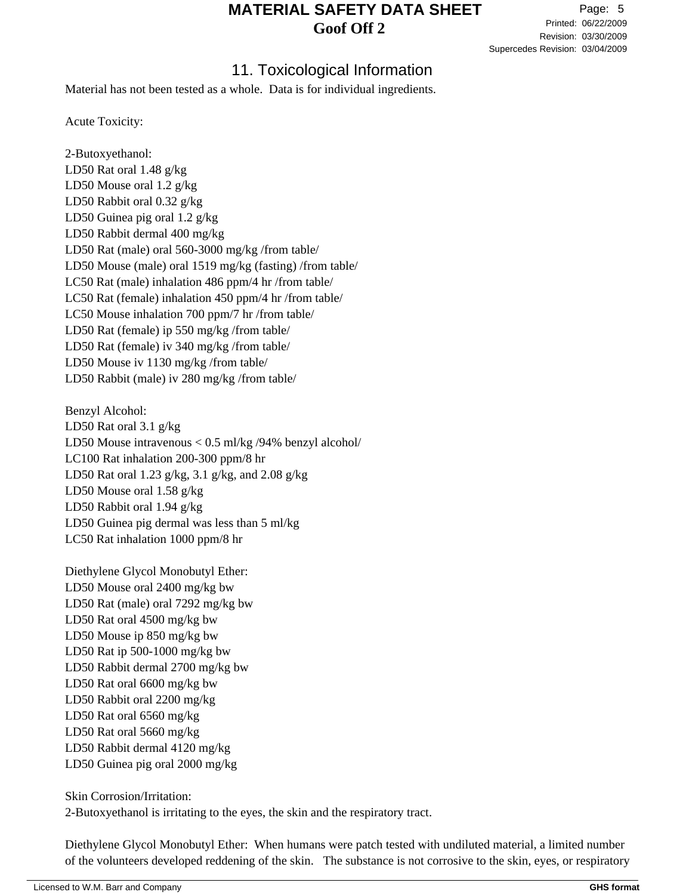Revision: 03/30/2009 Printed: 06/22/2009 Page: 5 Supercedes Revision: 03/04/2009

## 11. Toxicological Information

Material has not been tested as a whole. Data is for individual ingredients.

Acute Toxicity:

2-Butoxyethanol: LD50 Rat oral 1.48 g/kg LD50 Mouse oral 1.2 g/kg LD50 Rabbit oral 0.32 g/kg LD50 Guinea pig oral 1.2 g/kg LD50 Rabbit dermal 400 mg/kg LD50 Rat (male) oral 560-3000 mg/kg /from table/ LD50 Mouse (male) oral 1519 mg/kg (fasting) /from table/ LC50 Rat (male) inhalation 486 ppm/4 hr /from table/ LC50 Rat (female) inhalation 450 ppm/4 hr /from table/ LC50 Mouse inhalation 700 ppm/7 hr /from table/ LD50 Rat (female) ip 550 mg/kg /from table/ LD50 Rat (female) iv 340 mg/kg /from table/ LD50 Mouse iv 1130 mg/kg /from table/ LD50 Rabbit (male) iv 280 mg/kg /from table/

Benzyl Alcohol: LD50 Rat oral 3.1 g/kg LD50 Mouse intravenous < 0.5 ml/kg /94% benzyl alcohol/ LC100 Rat inhalation 200-300 ppm/8 hr LD50 Rat oral 1.23 g/kg, 3.1 g/kg, and 2.08 g/kg LD50 Mouse oral 1.58 g/kg LD50 Rabbit oral 1.94 g/kg LD50 Guinea pig dermal was less than 5 ml/kg LC50 Rat inhalation 1000 ppm/8 hr

Diethylene Glycol Monobutyl Ether: LD50 Mouse oral 2400 mg/kg bw LD50 Rat (male) oral 7292 mg/kg bw LD50 Rat oral 4500 mg/kg bw LD50 Mouse ip 850 mg/kg bw LD50 Rat ip 500-1000 mg/kg bw LD50 Rabbit dermal 2700 mg/kg bw LD50 Rat oral 6600 mg/kg bw LD50 Rabbit oral 2200 mg/kg LD50 Rat oral 6560 mg/kg LD50 Rat oral 5660 mg/kg LD50 Rabbit dermal 4120 mg/kg LD50 Guinea pig oral 2000 mg/kg

Skin Corrosion/Irritation: 2-Butoxyethanol is irritating to the eyes, the skin and the respiratory tract.

Diethylene Glycol Monobutyl Ether: When humans were patch tested with undiluted material, a limited number of the volunteers developed reddening of the skin. The substance is not corrosive to the skin, eyes, or respiratory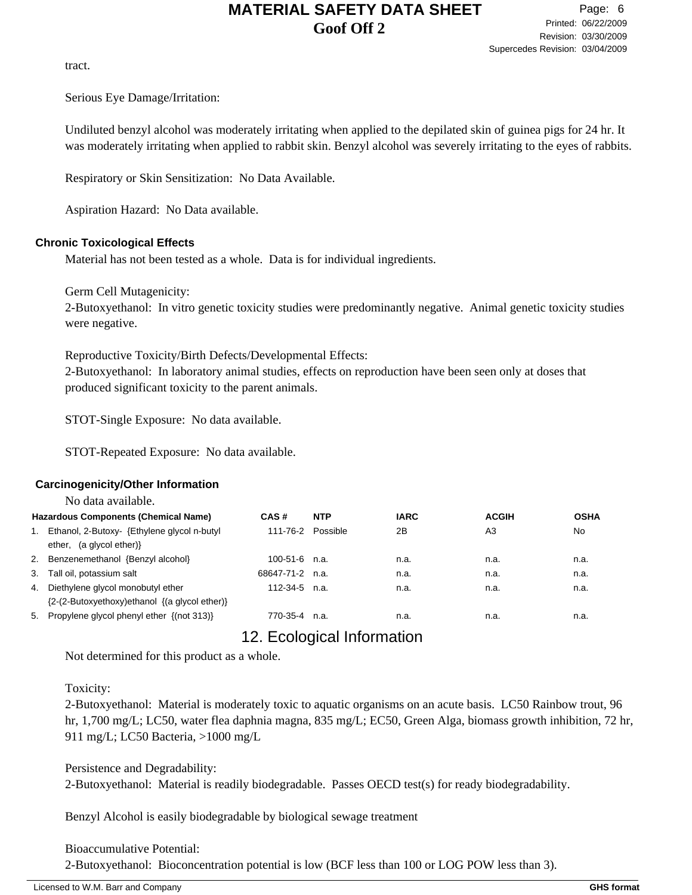tract.

Serious Eye Damage/Irritation:

Undiluted benzyl alcohol was moderately irritating when applied to the depilated skin of guinea pigs for 24 hr. It was moderately irritating when applied to rabbit skin. Benzyl alcohol was severely irritating to the eyes of rabbits.

Respiratory or Skin Sensitization: No Data Available.

Aspiration Hazard: No Data available.

#### **Chronic Toxicological Effects**

Material has not been tested as a whole. Data is for individual ingredients.

Germ Cell Mutagenicity:

2-Butoxyethanol: In vitro genetic toxicity studies were predominantly negative. Animal genetic toxicity studies were negative.

Reproductive Toxicity/Birth Defects/Developmental Effects:

2-Butoxyethanol: In laboratory animal studies, effects on reproduction have been seen only at doses that produced significant toxicity to the parent animals.

STOT-Single Exposure: No data available.

STOT-Repeated Exposure: No data available.

### **Carcinogenicity/Other Information**

|    | No data available.                                                                      |                   |            |             |              |             |
|----|-----------------------------------------------------------------------------------------|-------------------|------------|-------------|--------------|-------------|
|    | <b>Hazardous Components (Chemical Name)</b>                                             | CAS#              | <b>NTP</b> | <b>IARC</b> | <b>ACGIH</b> | <b>OSHA</b> |
| 1. | Ethanol, 2-Butoxy- {Ethylene glycol n-butyl<br>ether, $(a$ glycol ether) $\}$           | 111-76-2 Possible |            | 2Β          | A3           | <b>No</b>   |
| 2. | Benzenemethanol {Benzyl alcohol}                                                        | $100-51-6$ n.a.   |            | n.a.        | n.a.         | n.a.        |
| 3. | Tall oil, potassium salt                                                                | 68647-71-2 n.a.   |            | n.a.        | n.a.         | n.a.        |
| 4. | Diethylene glycol monobutyl ether<br>${2-(2-Butoxyethoxy)ethanol \{(a glycol ether)\}}$ | $112-34-5$ n.a.   |            | n.a.        | n.a.         | n.a.        |
| 5. | Propylene glycol phenyl ether {(not 313)}                                               | 770-35-4 n.a.     |            | n.a.        | n.a.         | n.a.        |

# 12. Ecological Information

Not determined for this product as a whole.

### Toxicity:

2-Butoxyethanol: Material is moderately toxic to aquatic organisms on an acute basis. LC50 Rainbow trout, 96 hr, 1,700 mg/L; LC50, water flea daphnia magna, 835 mg/L; EC50, Green Alga, biomass growth inhibition, 72 hr, 911 mg/L; LC50 Bacteria, >1000 mg/L

Persistence and Degradability: 2-Butoxyethanol: Material is readily biodegradable. Passes OECD test(s) for ready biodegradability.

Benzyl Alcohol is easily biodegradable by biological sewage treatment

#### Bioaccumulative Potential:

2-Butoxyethanol: Bioconcentration potential is low (BCF less than 100 or LOG POW less than 3).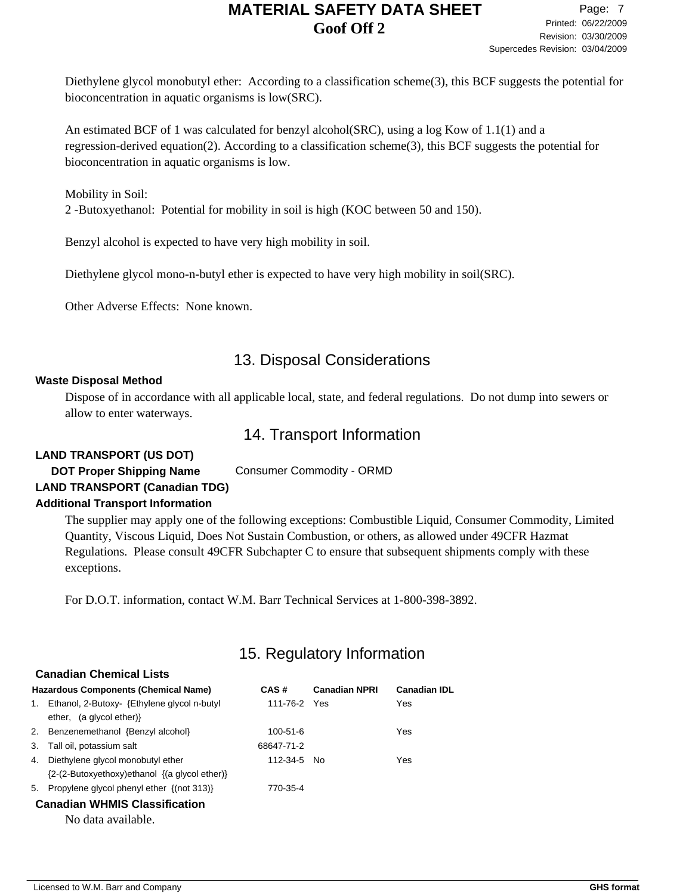Diethylene glycol monobutyl ether: According to a classification scheme(3), this BCF suggests the potential for bioconcentration in aquatic organisms is low(SRC).

An estimated BCF of 1 was calculated for benzyl alcohol(SRC), using a log Kow of 1.1(1) and a regression-derived equation(2). According to a classification scheme(3), this BCF suggests the potential for bioconcentration in aquatic organisms is low.

Mobility in Soil:

2 -Butoxyethanol: Potential for mobility in soil is high (KOC between 50 and 150).

Benzyl alcohol is expected to have very high mobility in soil.

Diethylene glycol mono-n-butyl ether is expected to have very high mobility in soil(SRC).

Other Adverse Effects: None known.

# 13. Disposal Considerations

#### **Waste Disposal Method**

Dispose of in accordance with all applicable local, state, and federal regulations. Do not dump into sewers or allow to enter waterways.

## 14. Transport Information

#### **LAND TRANSPORT (US DOT)**

**DOT Proper Shipping Name** Consumer Commodity - ORMD **LAND TRANSPORT (Canadian TDG)**

#### **Additional Transport Information**

The supplier may apply one of the following exceptions: Combustible Liquid, Consumer Commodity, Limited Quantity, Viscous Liquid, Does Not Sustain Combustion, or others, as allowed under 49CFR Hazmat Regulations. Please consult 49CFR Subchapter C to ensure that subsequent shipments comply with these exceptions.

For D.O.T. information, contact W.M. Barr Technical Services at 1-800-398-3892.

# 15. Regulatory Information

|    | <b>Canadian Chemical Lists</b>                                                            |                |                      |                     |  |  |  |  |
|----|-------------------------------------------------------------------------------------------|----------------|----------------------|---------------------|--|--|--|--|
|    | <b>Hazardous Components (Chemical Name)</b>                                               | CAS#           | <b>Canadian NPRI</b> | <b>Canadian IDL</b> |  |  |  |  |
| 1. | Ethanol, 2-Butoxy- {Ethylene glycol n-butyl<br>ether, $(a$ glycol ether) $\}$             | 111-76-2 Yes   |                      | Yes                 |  |  |  |  |
|    | 2. Benzenemethanol {Benzyl alcohol}                                                       | $100 - 51 - 6$ |                      | Yes                 |  |  |  |  |
| 3. | Tall oil, potassium salt                                                                  | 68647-71-2     |                      |                     |  |  |  |  |
| 4. | Diethylene glycol monobutyl ether<br>$\{2-(2-Butoxyethoxy)ethanol \{(a glycol ether)\}\}$ | 112-34-5 No    |                      | Yes                 |  |  |  |  |
| 5. | Propylene glycol phenyl ether {(not 313)}                                                 | 770-35-4       |                      |                     |  |  |  |  |
|    | <b>Canadian WHMIS Classification</b>                                                      |                |                      |                     |  |  |  |  |
|    | No data available.                                                                        |                |                      |                     |  |  |  |  |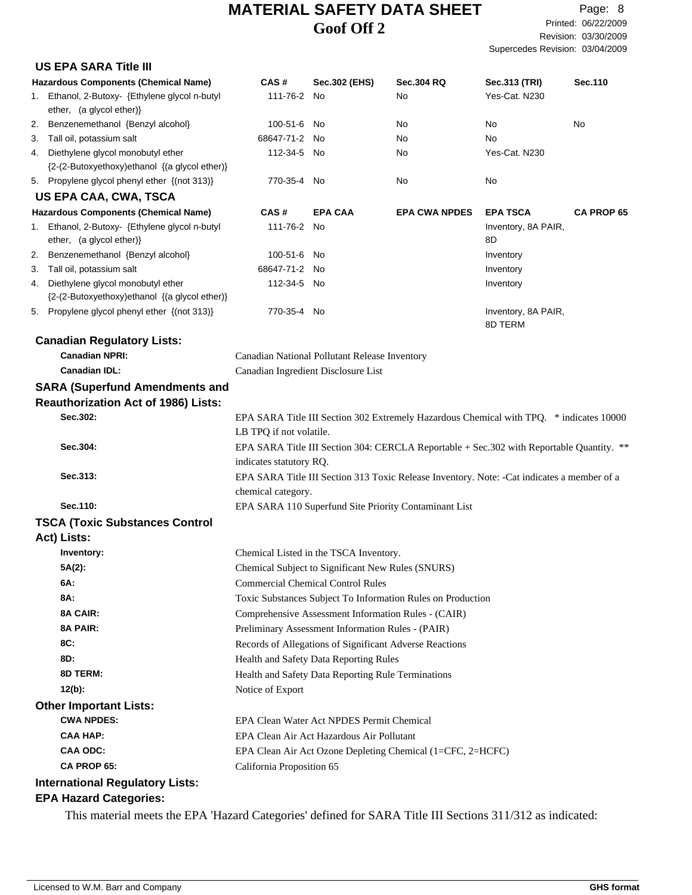|    | <b>US EPA SARA Title III</b>                                                                              |                                                    |                                                                                               |                                                                                            |                                |                   |
|----|-----------------------------------------------------------------------------------------------------------|----------------------------------------------------|-----------------------------------------------------------------------------------------------|--------------------------------------------------------------------------------------------|--------------------------------|-------------------|
|    | <b>Hazardous Components (Chemical Name)</b>                                                               | CAS#                                               | Sec.302 (EHS)                                                                                 | <b>Sec.304 RQ</b>                                                                          | Sec.313 (TRI)                  | Sec.110           |
|    | 1. Ethanol, 2-Butoxy- {Ethylene glycol n-butyl<br>ether, (a glycol ether)}                                | 111-76-2 No                                        |                                                                                               | No                                                                                         | Yes-Cat. N230                  |                   |
| 2. | Benzenemethanol {Benzyl alcohol}                                                                          | 100-51-6                                           | - No                                                                                          | No                                                                                         | No                             | No                |
|    | 3. Tall oil, potassium salt                                                                               | 68647-71-2 No                                      |                                                                                               | No                                                                                         | No                             |                   |
|    | 4. Diethylene glycol monobutyl ether                                                                      | 112-34-5 No                                        |                                                                                               | No                                                                                         | Yes-Cat. N230                  |                   |
|    | {2-(2-Butoxyethoxy)ethanol {(a glycol ether)}                                                             |                                                    |                                                                                               |                                                                                            |                                |                   |
|    | 5. Propylene glycol phenyl ether {(not 313)}                                                              | 770-35-4 No                                        |                                                                                               | No                                                                                         | No                             |                   |
|    | <b>US EPA CAA, CWA, TSCA</b>                                                                              |                                                    |                                                                                               |                                                                                            |                                |                   |
|    | <b>Hazardous Components (Chemical Name)</b>                                                               | CAS#                                               | <b>EPA CAA</b>                                                                                | <b>EPA CWA NPDES</b>                                                                       | <b>EPA TSCA</b>                | <b>CA PROP 65</b> |
|    | 1. Ethanol, 2-Butoxy- {Ethylene glycol n-butyl<br>ether, (a glycol ether)}                                | 111-76-2 No                                        |                                                                                               |                                                                                            | Inventory, 8A PAIR,<br>8D      |                   |
| 2. | Benzenemethanol {Benzyl alcohol}                                                                          | 100-51-6 No                                        |                                                                                               |                                                                                            | Inventory                      |                   |
|    | 3. Tall oil, potassium salt                                                                               | 68647-71-2 No                                      |                                                                                               |                                                                                            | Inventory                      |                   |
| 4. | Diethylene glycol monobutyl ether<br>{2-(2-Butoxyethoxy)ethanol {(a glycol ether)}                        | 112-34-5 No                                        |                                                                                               |                                                                                            | Inventory                      |                   |
|    | 5. Propylene glycol phenyl ether {(not 313)}                                                              | 770-35-4 No                                        |                                                                                               |                                                                                            | Inventory, 8A PAIR,<br>8D TERM |                   |
|    | <b>Canadian Regulatory Lists:</b>                                                                         |                                                    |                                                                                               |                                                                                            |                                |                   |
|    | <b>Canadian NPRI:</b>                                                                                     |                                                    | Canadian National Pollutant Release Inventory                                                 |                                                                                            |                                |                   |
|    | <b>Canadian IDL:</b>                                                                                      |                                                    | Canadian Ingredient Disclosure List                                                           |                                                                                            |                                |                   |
|    | <b>SARA (Superfund Amendments and</b>                                                                     |                                                    |                                                                                               |                                                                                            |                                |                   |
|    | <b>Reauthorization Act of 1986) Lists:</b>                                                                |                                                    |                                                                                               |                                                                                            |                                |                   |
|    | Sec.302:                                                                                                  |                                                    |                                                                                               | EPA SARA Title III Section 302 Extremely Hazardous Chemical with TPQ. * indicates 10000    |                                |                   |
|    |                                                                                                           | LB TPQ if not volatile.                            |                                                                                               |                                                                                            |                                |                   |
|    | Sec.304:                                                                                                  | indicates statutory RQ.                            |                                                                                               | EPA SARA Title III Section 304: CERCLA Reportable + Sec. 302 with Reportable Quantity. **  |                                |                   |
|    | Sec.313:                                                                                                  |                                                    |                                                                                               | EPA SARA Title III Section 313 Toxic Release Inventory. Note: -Cat indicates a member of a |                                |                   |
|    |                                                                                                           | chemical category.                                 |                                                                                               |                                                                                            |                                |                   |
|    | Sec.110:                                                                                                  |                                                    |                                                                                               | EPA SARA 110 Superfund Site Priority Contaminant List                                      |                                |                   |
|    | <b>TSCA (Toxic Substances Control</b>                                                                     |                                                    |                                                                                               |                                                                                            |                                |                   |
|    | Act) Lists:                                                                                               |                                                    |                                                                                               |                                                                                            |                                |                   |
|    | Inventory:                                                                                                |                                                    | Chemical Listed in the TSCA Inventory.                                                        |                                                                                            |                                |                   |
|    | 5A(2):                                                                                                    |                                                    |                                                                                               |                                                                                            |                                |                   |
|    | 6A:                                                                                                       |                                                    | Chemical Subject to Significant New Rules (SNURS)<br><b>Commercial Chemical Control Rules</b> |                                                                                            |                                |                   |
|    | 8A:                                                                                                       |                                                    |                                                                                               |                                                                                            |                                |                   |
|    |                                                                                                           |                                                    |                                                                                               | Toxic Substances Subject To Information Rules on Production                                |                                |                   |
|    | 8A CAIR:                                                                                                  |                                                    |                                                                                               | Comprehensive Assessment Information Rules - (CAIR)                                        |                                |                   |
|    | 8A PAIR:                                                                                                  |                                                    | Preliminary Assessment Information Rules - (PAIR)                                             |                                                                                            |                                |                   |
|    | 8C:                                                                                                       |                                                    |                                                                                               | Records of Allegations of Significant Adverse Reactions                                    |                                |                   |
|    | 8D:                                                                                                       |                                                    | Health and Safety Data Reporting Rules                                                        |                                                                                            |                                |                   |
|    | 8D TERM:                                                                                                  | Health and Safety Data Reporting Rule Terminations |                                                                                               |                                                                                            |                                |                   |
|    | $12(b)$ :                                                                                                 | Notice of Export                                   |                                                                                               |                                                                                            |                                |                   |
|    | <b>Other Important Lists:</b>                                                                             |                                                    |                                                                                               |                                                                                            |                                |                   |
|    | <b>CWA NPDES:</b>                                                                                         |                                                    | EPA Clean Water Act NPDES Permit Chemical                                                     |                                                                                            |                                |                   |
|    | <b>CAA HAP:</b>                                                                                           |                                                    | EPA Clean Air Act Hazardous Air Pollutant                                                     |                                                                                            |                                |                   |
|    | <b>CAA ODC:</b>                                                                                           |                                                    |                                                                                               | EPA Clean Air Act Ozone Depleting Chemical (1=CFC, 2=HCFC)                                 |                                |                   |
|    | CA PROP 65:                                                                                               | California Proposition 65                          |                                                                                               |                                                                                            |                                |                   |
|    | <b>International Regulatory Lists:</b>                                                                    |                                                    |                                                                                               |                                                                                            |                                |                   |
|    | <b>EPA Hazard Categories:</b>                                                                             |                                                    |                                                                                               |                                                                                            |                                |                   |
|    | This material meets the EPA 'Hazard Categories' defined for SARA Title III Sections 311/312 as indicated: |                                                    |                                                                                               |                                                                                            |                                |                   |